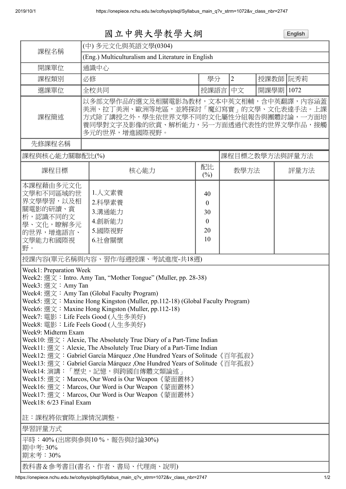|                                                                                                                                                                                                                                                                                                                                                                                                                                                                                                                                                                                                                                                                                                                                                                                                                                                                                                                                                                             | 國立中興大學教學大綱                                                                                                                                                                        |  |                                                          |                |           | English |  |
|-----------------------------------------------------------------------------------------------------------------------------------------------------------------------------------------------------------------------------------------------------------------------------------------------------------------------------------------------------------------------------------------------------------------------------------------------------------------------------------------------------------------------------------------------------------------------------------------------------------------------------------------------------------------------------------------------------------------------------------------------------------------------------------------------------------------------------------------------------------------------------------------------------------------------------------------------------------------------------|-----------------------------------------------------------------------------------------------------------------------------------------------------------------------------------|--|----------------------------------------------------------|----------------|-----------|---------|--|
| (中) 多元文化與英語文學(0304)                                                                                                                                                                                                                                                                                                                                                                                                                                                                                                                                                                                                                                                                                                                                                                                                                                                                                                                                                         |                                                                                                                                                                                   |  |                                                          |                |           |         |  |
| 課程名稱<br>(Eng.) Multiculturalism and Literature in English                                                                                                                                                                                                                                                                                                                                                                                                                                                                                                                                                                                                                                                                                                                                                                                                                                                                                                                   |                                                                                                                                                                                   |  |                                                          |                |           |         |  |
| 開課單位                                                                                                                                                                                                                                                                                                                                                                                                                                                                                                                                                                                                                                                                                                                                                                                                                                                                                                                                                                        | 通識中心                                                                                                                                                                              |  |                                                          |                |           |         |  |
| 課程類別                                                                                                                                                                                                                                                                                                                                                                                                                                                                                                                                                                                                                                                                                                                                                                                                                                                                                                                                                                        | 必修                                                                                                                                                                                |  | 學分                                                       | $\overline{2}$ | 授課教師 阮秀莉  |         |  |
| 選課單位                                                                                                                                                                                                                                                                                                                                                                                                                                                                                                                                                                                                                                                                                                                                                                                                                                                                                                                                                                        | 全校共同                                                                                                                                                                              |  | 授課語言                                                     | 中文             | 開課學期 1072 |         |  |
| 課程簡述                                                                                                                                                                                                                                                                                                                                                                                                                                                                                                                                                                                                                                                                                                                                                                                                                                                                                                                                                                        | 以多部文學作品的選文及相關電影為教材,文本中英文相輔,含中英翻譯,內容涵蓋<br>美洲、拉丁美洲、歐洲等地區,並將探討「魔幻寫實」的文學、文化表達手法。上課<br>方式除了講授之外,學生依世界文學不同的文化屬性分組報告與團體討論,一方面培<br>養同學對文字及影像的欣賞、解析能力,另一方面透過代表性的世界文學作品,接觸<br>多元的世界,增進國際視野。 |  |                                                          |                |           |         |  |
| 先修課程名稱                                                                                                                                                                                                                                                                                                                                                                                                                                                                                                                                                                                                                                                                                                                                                                                                                                                                                                                                                                      |                                                                                                                                                                                   |  |                                                          |                |           |         |  |
| 課程與核心能力關聯配比(%)<br>課程目標之教學方法與評量方法                                                                                                                                                                                                                                                                                                                                                                                                                                                                                                                                                                                                                                                                                                                                                                                                                                                                                                                                            |                                                                                                                                                                                   |  |                                                          |                |           |         |  |
| 課程目標                                                                                                                                                                                                                                                                                                                                                                                                                                                                                                                                                                                                                                                                                                                                                                                                                                                                                                                                                                        | 核心能力                                                                                                                                                                              |  | 配比<br>(%)                                                | 教學方法           |           | 評量方法    |  |
| 本課程藉由多元文化<br>文學和不同區域的世<br>界文學學習,以及相<br>關電影的研讀、賞<br>析,認識不同的文<br>學、文化,瞭解多元<br>的世界,增進語言、<br>文學能力和國際視<br>野。                                                                                                                                                                                                                                                                                                                                                                                                                                                                                                                                                                                                                                                                                                                                                                                                                                                                     | 1.人文素養<br>2.科學素養<br>3.溝通能力<br>4.創新能力<br>5.國際視野<br>6.社會關懷                                                                                                                          |  | 40<br>$\boldsymbol{0}$<br>30<br>$\mathbf{0}$<br>20<br>10 |                |           |         |  |
| 授課內容(單元名稱與內容、習作/每週授課、考試進度-共18週)                                                                                                                                                                                                                                                                                                                                                                                                                                                                                                                                                                                                                                                                                                                                                                                                                                                                                                                                             |                                                                                                                                                                                   |  |                                                          |                |           |         |  |
| Week1: Preparation Week<br>Week2: 選文: Intro. Amy Tan, "Mother Tongue" (Muller, pp. 28-38)<br>Week3: $\mathcal{L}$ $\chi$ : Amy Tan<br>Week4: 選文: Amy Tan (Global Faculty Program)<br>Week5: 選文: Maxine Hong Kingston (Muller, pp.112-18) (Global Faculty Program)<br>Week6: 選文: Maxine Hong Kingston (Muller, pp.112-18)<br>Week7: 電影: Life Feels Good (人生多美好)<br>Week8: 電影:Life Feels Good (人生多美好)<br>Week9: Midterm Exam<br>Week10: 選文: Alexie, The Absolutely True Diary of a Part-Time Indian<br>Week11: 選文:Alexie, The Absolutely True Diary of a Part-Time Indian<br>Week12: 選文: Gabriel García Márquez, One Hundred Years of Solitude 《百年孤寂》<br>Week13: 選文: Gabriel García Márquez, One Hundred Years of Solitude 《百年孤寂》<br>Week14: 演講:「歷史,記憶,與跨國自傳體文類論述」<br>Week15: 選文: Marcos, Our Word is Our Weapon《蒙面叢林》<br>Week16: 選文: Marcos, Our Word is Our Weapon 《蒙面叢林》<br>Week17: 選文: Marcos, Our Word is Our Weapon《蒙面叢林》<br>Week18: 6/23 Final Exam<br>註:課程將依實際上課情況調整。 |                                                                                                                                                                                   |  |                                                          |                |           |         |  |
| 學習評量方式                                                                                                                                                                                                                                                                                                                                                                                                                                                                                                                                                                                                                                                                                                                                                                                                                                                                                                                                                                      |                                                                                                                                                                                   |  |                                                          |                |           |         |  |
| 期中考: 30%<br>期末考: 30%                                                                                                                                                                                                                                                                                                                                                                                                                                                                                                                                                                                                                                                                                                                                                                                                                                                                                                                                                        | 平時:40% (出席與參與10 %,報告與討論30%)<br>教科書&参考書目(書名、作者、書局、代理商、說明)                                                                                                                          |  |                                                          |                |           |         |  |